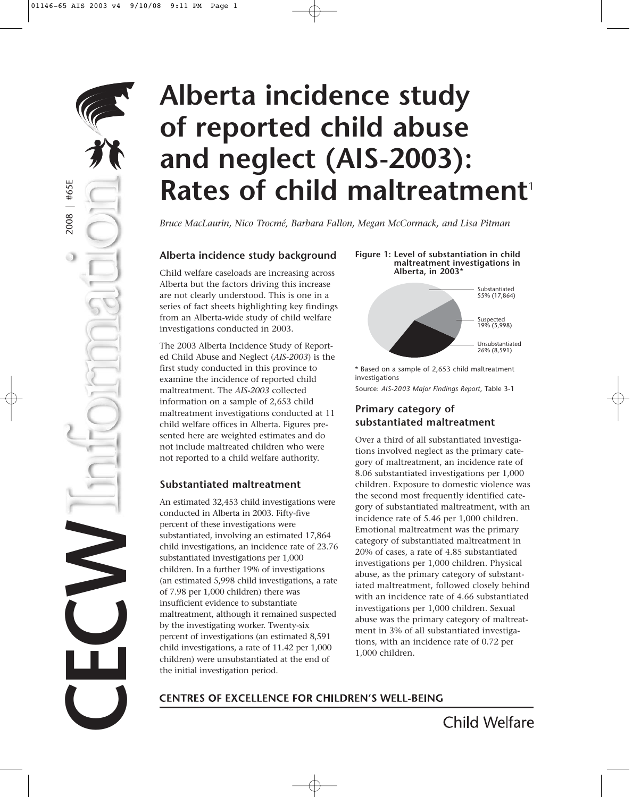# **Alberta incidence study of reported child abuse and neglect (AIS-2003): Rates of child maltreatment**

*Bruce MacLaurin, Nico Trocmé, Barbara Fallon, Megan McCormack, and Lisa Pitman*

#### **Alberta incidence study background**

2006 | #42E

#65E

2008 | #65E

 $2008$ 

**CECU** 

Child welfare caseloads are increasing across Alberta but the factors driving this increase are not clearly understood. This is one in a series of fact sheets highlighting key findings from an Alberta-wide study of child welfare investigations conducted in 2003.

The 2003 Alberta Incidence Study of Reported Child Abuse and Neglect (*AIS-2003*) is the first study conducted in this province to examine the incidence of reported child maltreatment. The *AIS-2003* collected information on a sample of 2,653 child maltreatment investigations conducted at 11 child welfare offices in Alberta. Figures presented here are weighted estimates and do not include maltreated children who were not reported to a child welfare authority.

#### **Substantiated maltreatment**

An estimated 32,453 child investigations were conducted in Alberta in 2003. Fifty-five percent of these investigations were substantiated, involving an estimated 17,864 child investigations, an incidence rate of 23.76 substantiated investigations per 1,000 children. In a further 19% of investigations (an estimated 5,998 child investigations, a rate of 7.98 per 1,000 children) there was insufficient evidence to substantiate maltreatment, although it remained suspected by the investigating worker. Twenty-six percent of investigations (an estimated 8,591 child investigations, a rate of 11.42 per 1,000 children) were unsubstantiated at the end of the initial investigation period.

#### **Figure 1: Level of substantiation in child maltreatment investigations in Alberta, in 2003**\*



\* Based on a sample of 2,653 child maltreatment investigations

Source: *AIS-2003 Major Findings Report*, Table 3-1

#### **Primary category of substantiated maltreatment**

Over a third of all substantiated investigations involved neglect as the primary category of maltreatment, an incidence rate of 8.06 substantiated investigations per 1,000 children. Exposure to domestic violence was the second most frequently identified category of substantiated maltreatment, with an incidence rate of 5.46 per 1,000 children. Emotional maltreatment was the primary category of substantiated maltreatment in 20% of cases, a rate of 4.85 substantiated investigations per 1,000 children. Physical abuse, as the primary category of substantiated maltreatment, followed closely behind with an incidence rate of 4.66 substantiated investigations per 1,000 children. Sexual abuse was the primary category of maltreatment in 3% of all substantiated investigations, with an incidence rate of 0.72 per 1,000 children.

#### **CENTRES OF EXCELLENCE FOR CHILDREN'S WELL-BEING**